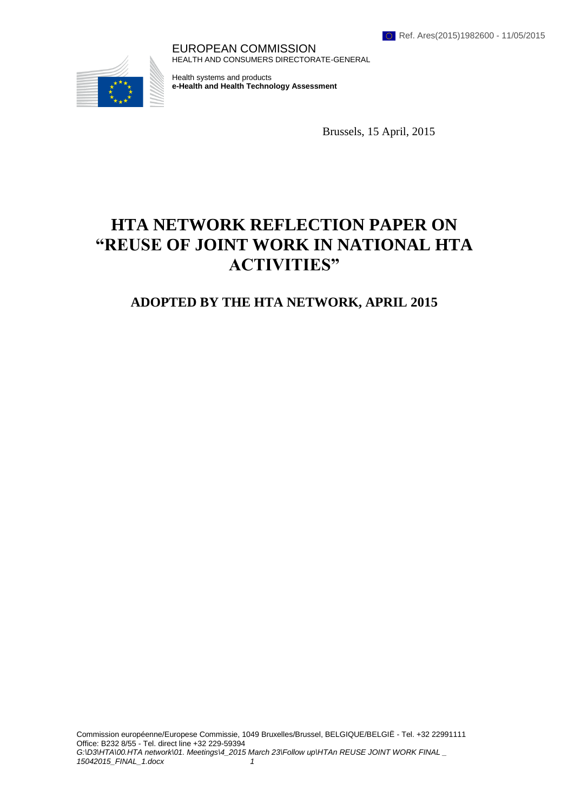EUROPEAN COMMISSION HEALTH AND CONSUMERS DIRECTORATE-GENERAL



Health systems and products **e-Health and Health Technology Assessment** 

Brussels, 15 April, 2015

# **HTA NETWORK REFLECTION PAPER ON "REUSE OF JOINT WORK IN NATIONAL HTA ACTIVITIES"**

# **ADOPTED BY THE HTA NETWORK, APRIL 2015**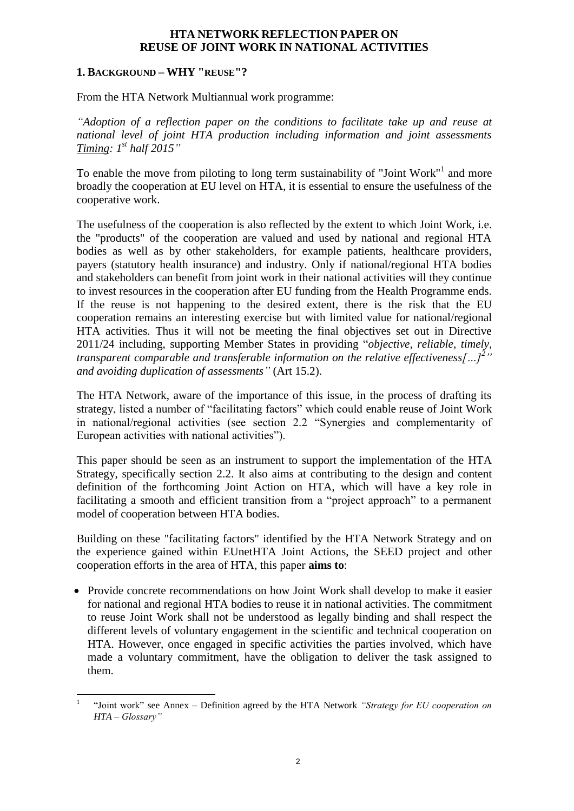#### **HTA NETWORK REFLECTION PAPER ON REUSE OF JOINT WORK IN NATIONAL ACTIVITIES**

#### **1. BACKGROUND – WHY "REUSE"?**

From the HTA Network Multiannual work programme:

*"Adoption of a reflection paper on the conditions to facilitate take up and reuse at national level of joint HTA production including information and joint assessments Timing: 1st half 2015"*

To enable the move from piloting to long term sustainability of "Joint Work"<sup>1</sup> and more broadly the cooperation at EU level on HTA, it is essential to ensure the usefulness of the cooperative work.

The usefulness of the cooperation is also reflected by the extent to which Joint Work, i.e. the "products" of the cooperation are valued and used by national and regional HTA bodies as well as by other stakeholders, for example patients, healthcare providers, payers (statutory health insurance) and industry. Only if national/regional HTA bodies and stakeholders can benefit from joint work in their national activities will they continue to invest resources in the cooperation after EU funding from the Health Programme ends. If the reuse is not happening to the desired extent, there is the risk that the EU cooperation remains an interesting exercise but with limited value for national/regional HTA activities. Thus it will not be meeting the final objectives set out in Directive 2011/24 including, supporting Member States in providing "*objective, reliable, timely, transparent comparable and transferable information on the relative effectiveness[…]<sup>2</sup> " and avoiding duplication of assessments"* (Art 15.2).

The HTA Network, aware of the importance of this issue, in the process of drafting its strategy, listed a number of "facilitating factors" which could enable reuse of Joint Work in national/regional activities (see section 2.2 "Synergies and complementarity of European activities with national activities").

This paper should be seen as an instrument to support the implementation of the HTA Strategy, specifically section 2.2. It also aims at contributing to the design and content definition of the forthcoming Joint Action on HTA, which will have a key role in facilitating a smooth and efficient transition from a "project approach" to a permanent model of cooperation between HTA bodies.

Building on these "facilitating factors" identified by the HTA Network Strategy and on the experience gained within EUnetHTA Joint Actions, the SEED project and other cooperation efforts in the area of HTA, this paper **aims to**:

• Provide concrete recommendations on how Joint Work shall develop to make it easier for national and regional HTA bodies to reuse it in national activities. The commitment to reuse Joint Work shall not be understood as legally binding and shall respect the different levels of voluntary engagement in the scientific and technical cooperation on HTA. However, once engaged in specific activities the parties involved, which have made a voluntary commitment, have the obligation to deliver the task assigned to them.

<sup>1</sup> 1 "Joint work" see Annex – Definition agreed by the HTA Network *"Strategy for EU cooperation on HTA – Glossary"*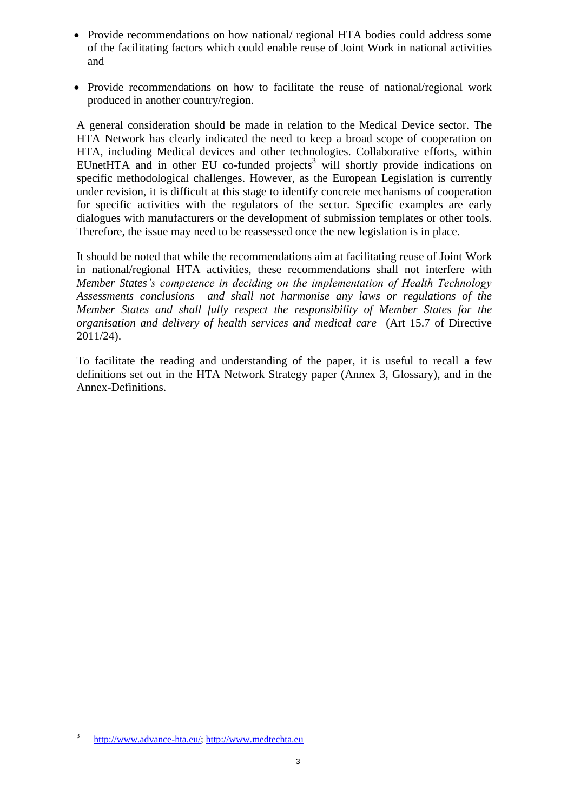- Provide recommendations on how national/ regional HTA bodies could address some of the facilitating factors which could enable reuse of Joint Work in national activities and
- Provide recommendations on how to facilitate the reuse of national/regional work produced in another country/region.

A general consideration should be made in relation to the Medical Device sector. The HTA Network has clearly indicated the need to keep a broad scope of cooperation on HTA, including Medical devices and other technologies. Collaborative efforts, within EUnetHTA and in other EU co-funded projects<sup>3</sup> will shortly provide indications on specific methodological challenges. However, as the European Legislation is currently under revision, it is difficult at this stage to identify concrete mechanisms of cooperation for specific activities with the regulators of the sector. Specific examples are early dialogues with manufacturers or the development of submission templates or other tools. Therefore, the issue may need to be reassessed once the new legislation is in place.

It should be noted that while the recommendations aim at facilitating reuse of Joint Work in national/regional HTA activities, these recommendations shall not interfere with *Member States's competence in deciding on the implementation of Health Technology Assessments conclusions and shall not harmonise any laws or regulations of the Member States and shall fully respect the responsibility of Member States for the organisation and delivery of health services and medical care* (Art 15.7 of Directive 2011/24).

To facilitate the reading and understanding of the paper, it is useful to recall a few definitions set out in the HTA Network Strategy paper (Annex 3, Glossary), and in the Annex-Definitions.

 $\frac{1}{3}$ [http://www.advance-hta.eu/;](http://www.advance-hta.eu/) [http://www.medtechta.eu](http://www.medtechta.eu/)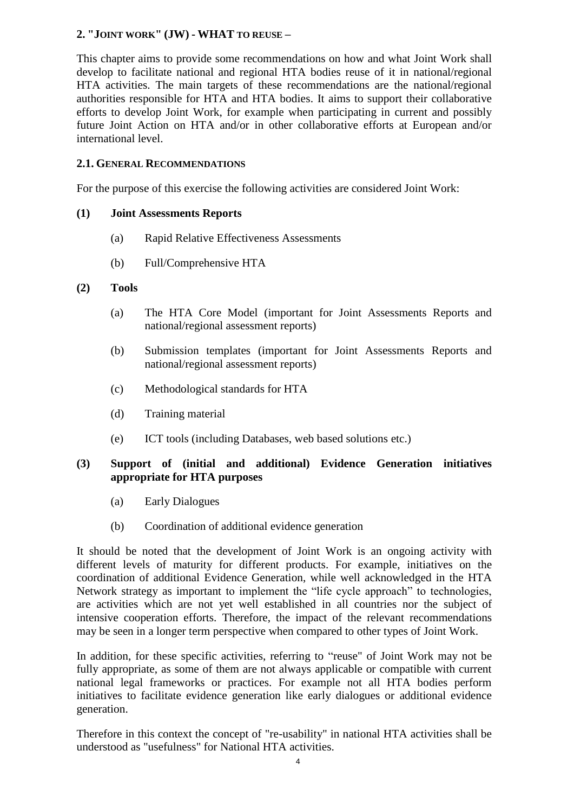# **2. "JOINT WORK" (JW) - WHAT TO REUSE –**

This chapter aims to provide some recommendations on how and what Joint Work shall develop to facilitate national and regional HTA bodies reuse of it in national/regional HTA activities. The main targets of these recommendations are the national/regional authorities responsible for HTA and HTA bodies. It aims to support their collaborative efforts to develop Joint Work, for example when participating in current and possibly future Joint Action on HTA and/or in other collaborative efforts at European and/or international level.

#### **2.1. GENERAL RECOMMENDATIONS**

For the purpose of this exercise the following activities are considered Joint Work:

#### **(1) Joint Assessments Reports**

- (a) Rapid Relative Effectiveness Assessments
- (b) Full/Comprehensive HTA

#### **(2) Tools**

- (a) The HTA Core Model (important for Joint Assessments Reports and national/regional assessment reports)
- (b) Submission templates (important for Joint Assessments Reports and national/regional assessment reports)
- (c) Methodological standards for HTA
- (d) Training material
- (e) ICT tools (including Databases, web based solutions etc.)

#### **(3) Support of (initial and additional) Evidence Generation initiatives appropriate for HTA purposes**

- (a) Early Dialogues
- (b) Coordination of additional evidence generation

It should be noted that the development of Joint Work is an ongoing activity with different levels of maturity for different products. For example, initiatives on the coordination of additional Evidence Generation, while well acknowledged in the HTA Network strategy as important to implement the "life cycle approach" to technologies, are activities which are not yet well established in all countries nor the subject of intensive cooperation efforts. Therefore, the impact of the relevant recommendations may be seen in a longer term perspective when compared to other types of Joint Work.

In addition, for these specific activities, referring to "reuse" of Joint Work may not be fully appropriate, as some of them are not always applicable or compatible with current national legal frameworks or practices. For example not all HTA bodies perform initiatives to facilitate evidence generation like early dialogues or additional evidence generation.

Therefore in this context the concept of "re-usability" in national HTA activities shall be understood as "usefulness" for National HTA activities.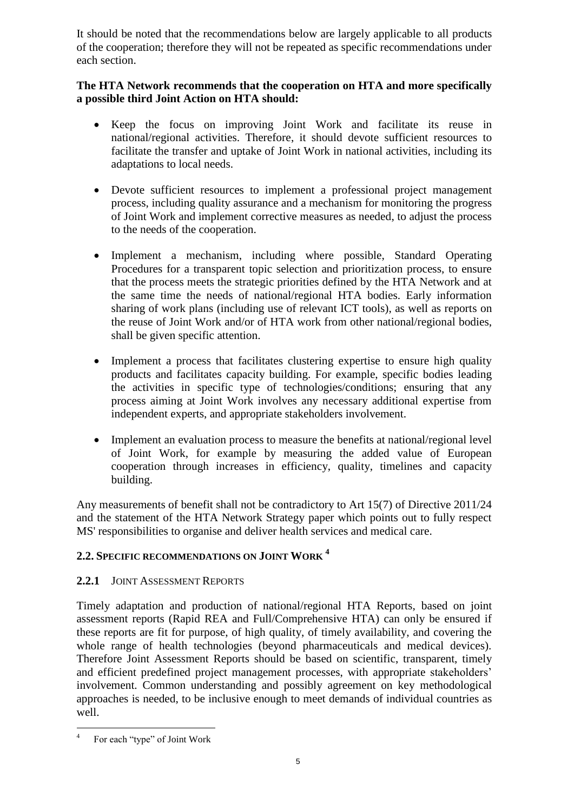It should be noted that the recommendations below are largely applicable to all products of the cooperation; therefore they will not be repeated as specific recommendations under each section.

# **The HTA Network recommends that the cooperation on HTA and more specifically a possible third Joint Action on HTA should:**

- Keep the focus on improving Joint Work and facilitate its reuse in national/regional activities. Therefore, it should devote sufficient resources to facilitate the transfer and uptake of Joint Work in national activities, including its adaptations to local needs.
- Devote sufficient resources to implement a professional project management process, including quality assurance and a mechanism for monitoring the progress of Joint Work and implement corrective measures as needed, to adjust the process to the needs of the cooperation.
- Implement a mechanism, including where possible, Standard Operating Procedures for a transparent topic selection and prioritization process, to ensure that the process meets the strategic priorities defined by the HTA Network and at the same time the needs of national/regional HTA bodies. Early information sharing of work plans (including use of relevant ICT tools), as well as reports on the reuse of Joint Work and/or of HTA work from other national/regional bodies, shall be given specific attention.
- Implement a process that facilitates clustering expertise to ensure high quality products and facilitates capacity building. For example, specific bodies leading the activities in specific type of technologies/conditions; ensuring that any process aiming at Joint Work involves any necessary additional expertise from independent experts, and appropriate stakeholders involvement.
- Implement an evaluation process to measure the benefits at national/regional level of Joint Work, for example by measuring the added value of European cooperation through increases in efficiency, quality, timelines and capacity building.

Any measurements of benefit shall not be [contradictory](http://dict.leo.org/ende/index_de.html#/search=contradictory&searchLoc=0&resultOrder=basic&multiwordShowSingle=on) to Art 15(7) of Directive 2011/24 and the statement of the HTA Network Strategy paper which points out to fully respect MS' responsibilities to organise and deliver health services and medical care.

# **2.2. SPECIFIC RECOMMENDATIONS ON JOINT WORK <sup>4</sup>**

# **2.2.1** JOINT ASSESSMENT REPORTS

Timely adaptation and production of national/regional HTA Reports, based on joint assessment reports (Rapid REA and Full/Comprehensive HTA) can only be ensured if these reports are fit for purpose, of high quality, of timely availability, and covering the whole range of health technologies (beyond pharmaceuticals and medical devices). Therefore Joint Assessment Reports should be based on scientific, transparent, timely and efficient predefined project management processes, with appropriate stakeholders' involvement. Common understanding and possibly agreement on key methodological approaches is needed, to be inclusive enough to meet demands of individual countries as well.

 $\frac{1}{4}$ For each "type" of Joint Work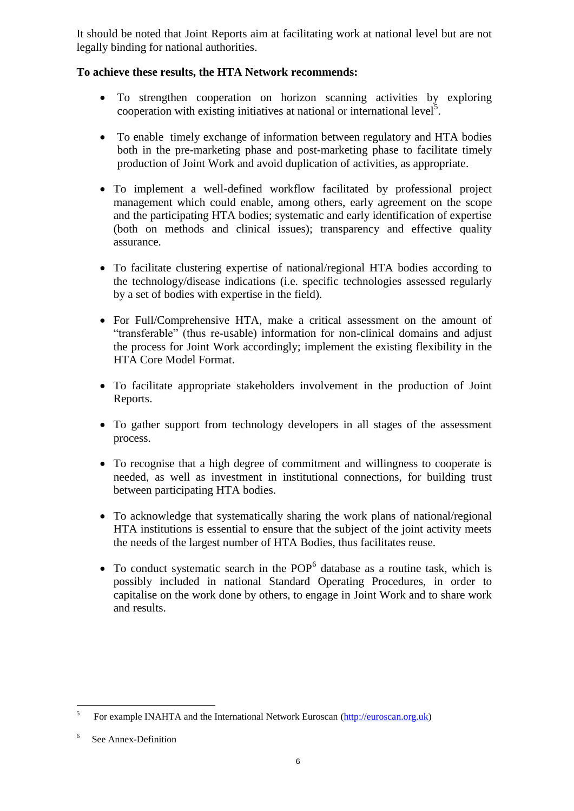It should be noted that Joint Reports aim at facilitating work at national level but are not legally binding for national authorities.

# **To achieve these results, the HTA Network recommends:**

- To strengthen cooperation on horizon scanning activities by exploring cooperation with existing initiatives at national or international level<sup>5</sup>.
- To enable timely exchange of information between regulatory and HTA bodies both in the pre-marketing phase and post-marketing phase to facilitate timely production of Joint Work and avoid duplication of activities, as appropriate.
- To implement a well-defined workflow facilitated by professional project management which could enable, among others, early agreement on the scope and the participating HTA bodies; systematic and early identification of expertise (both on methods and clinical issues); transparency and effective quality assurance.
- To facilitate clustering expertise of national/regional HTA bodies according to the technology/disease indications (i.e. specific technologies assessed regularly by a set of bodies with expertise in the field).
- For Full/Comprehensive HTA, make a critical assessment on the amount of "transferable" (thus re-usable) information for non-clinical domains and adjust the process for Joint Work accordingly; implement the existing flexibility in the HTA Core Model Format.
- To facilitate appropriate stakeholders involvement in the production of Joint Reports.
- To gather support from technology developers in all stages of the assessment process.
- To recognise that a high degree of commitment and willingness to cooperate is needed, as well as investment in institutional connections, for building trust between participating HTA bodies.
- To acknowledge that systematically sharing the work plans of national/regional HTA institutions is essential to ensure that the subject of the joint activity meets the needs of the largest number of HTA Bodies, thus facilitates reuse.
- $\bullet$  To conduct systematic search in the POP<sup>6</sup> database as a routine task, which is possibly included in national Standard Operating Procedures, in order to capitalise on the work done by others, to engage in Joint Work and to share work and results.

 $\frac{1}{5}$ For example INAHTA and the International Network Euroscan [\(http://euroscan.org.uk\)](http://euroscan.org.uk/)

<sup>6</sup> See Annex-Definition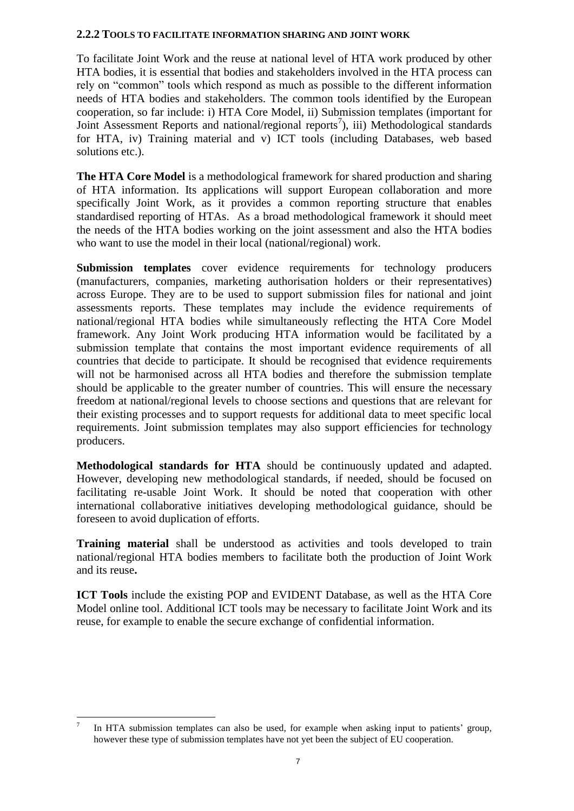#### **2.2.2 TOOLS TO FACILITATE INFORMATION SHARING AND JOINT WORK**

To facilitate Joint Work and the reuse at national level of HTA work produced by other HTA bodies, it is essential that bodies and stakeholders involved in the HTA process can rely on "common" tools which respond as much as possible to the different information needs of HTA bodies and stakeholders. The common tools identified by the European cooperation, so far include: i) HTA Core Model, ii) Submission templates (important for Joint Assessment Reports and national/regional reports<sup>7</sup>), iii) Methodological standards for HTA, iv) Training material and v) ICT tools (including Databases, web based solutions etc.).

**The HTA Core Model** is a methodological framework for shared production and sharing of HTA information. Its applications will support European collaboration and more specifically Joint Work, as it provides a common reporting structure that enables standardised reporting of HTAs. As a broad methodological framework it should meet the needs of the HTA bodies working on the joint assessment and also the HTA bodies who want to use the model in their local (national/regional) work.

**Submission templates** cover evidence requirements for technology producers (manufacturers, companies, marketing authorisation holders or their representatives) across Europe. They are to be used to support submission files for national and joint assessments reports. These templates may include the evidence requirements of national/regional HTA bodies while simultaneously reflecting the HTA Core Model framework. Any Joint Work producing HTA information would be facilitated by a submission template that contains the most important evidence requirements of all countries that decide to participate. It should be recognised that evidence requirements will not be harmonised across all HTA bodies and therefore the submission template should be applicable to the greater number of countries. This will ensure the necessary freedom at national/regional levels to choose sections and questions that are relevant for their existing processes and to support requests for additional data to meet specific local requirements. Joint submission templates may also support efficiencies for technology producers.

**Methodological standards for HTA** should be continuously updated and adapted. However, developing new methodological standards, if needed, should be focused on facilitating re-usable Joint Work. It should be noted that cooperation with other international collaborative initiatives developing methodological guidance, should be foreseen to avoid duplication of efforts.

**Training material** shall be understood as activities and tools developed to train national/regional HTA bodies members to facilitate both the production of Joint Work and its reuse**.** 

**ICT Tools** include the existing POP and EVIDENT Database, as well as the HTA Core Model online tool. Additional ICT tools may be necessary to facilitate Joint Work and its reuse, for example to enable the secure exchange of confidential information.

 $\frac{1}{7}$ In HTA submission templates can also be used, for example when asking input to patients' group, however these type of submission templates have not yet been the subject of EU cooperation.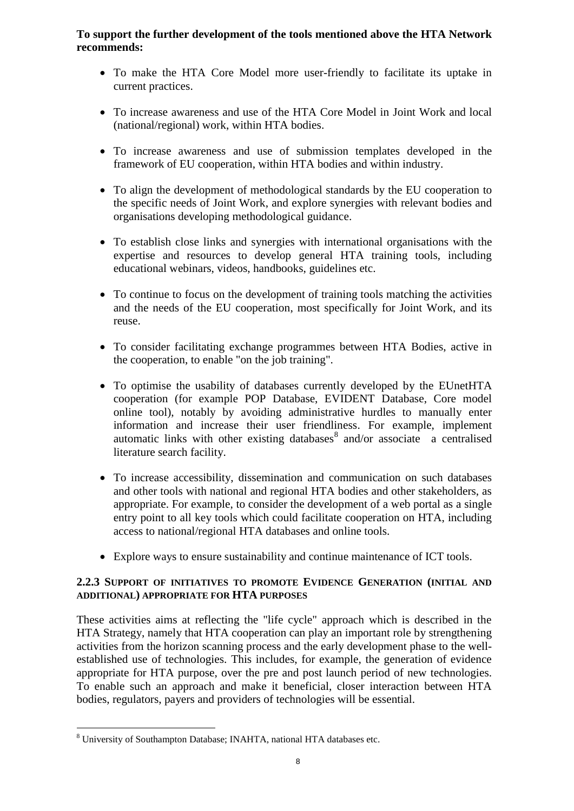#### **To support the further development of the tools mentioned above the HTA Network recommends:**

- To make the HTA Core Model more user-friendly to facilitate its uptake in current practices.
- To increase awareness and use of the HTA Core Model in Joint Work and local (national/regional) work, within HTA bodies.
- To increase awareness and use of submission templates developed in the framework of EU cooperation, within HTA bodies and within industry.
- To align the development of methodological standards by the EU cooperation to the specific needs of Joint Work, and explore synergies with relevant bodies and organisations developing methodological guidance.
- To establish close links and synergies with international organisations with the expertise and resources to develop general HTA training tools, including educational webinars, videos, handbooks, guidelines etc.
- To continue to focus on the development of training tools matching the activities and the needs of the EU cooperation, most specifically for Joint Work, and its reuse.
- To consider facilitating exchange programmes between HTA Bodies, active in the cooperation, to enable "on the job training".
- To optimise the usability of databases currently developed by the EUnetHTA cooperation (for example POP Database, EVIDENT Database, Core model online tool), notably by avoiding administrative hurdles to manually enter information and increase their user friendliness. For example, implement automatic links with other existing databases $\delta$  and/or associate a centralised literature search facility.
- To increase accessibility, dissemination and communication on such databases and other tools with national and regional HTA bodies and other stakeholders, as appropriate. For example, to consider the development of a web portal as a single entry point to all key tools which could facilitate cooperation on HTA, including access to national/regional HTA databases and online tools.
- Explore ways to ensure sustainability and continue maintenance of ICT tools.

# **2.2.3 SUPPORT OF INITIATIVES TO PROMOTE EVIDENCE GENERATION (INITIAL AND ADDITIONAL) APPROPRIATE FOR HTA PURPOSES**

These activities aims at reflecting the "life cycle" approach which is described in the HTA Strategy, namely that HTA cooperation can play an important role by strengthening activities from the horizon scanning process and the early development phase to the wellestablished use of technologies. This includes, for example, the generation of evidence appropriate for HTA purpose, over the pre and post launch period of new technologies. To enable such an approach and make it beneficial, closer interaction between HTA bodies, regulators, payers and providers of technologies will be essential.

<sup>1</sup> <sup>8</sup> University of Southampton Database; INAHTA, national HTA databases etc.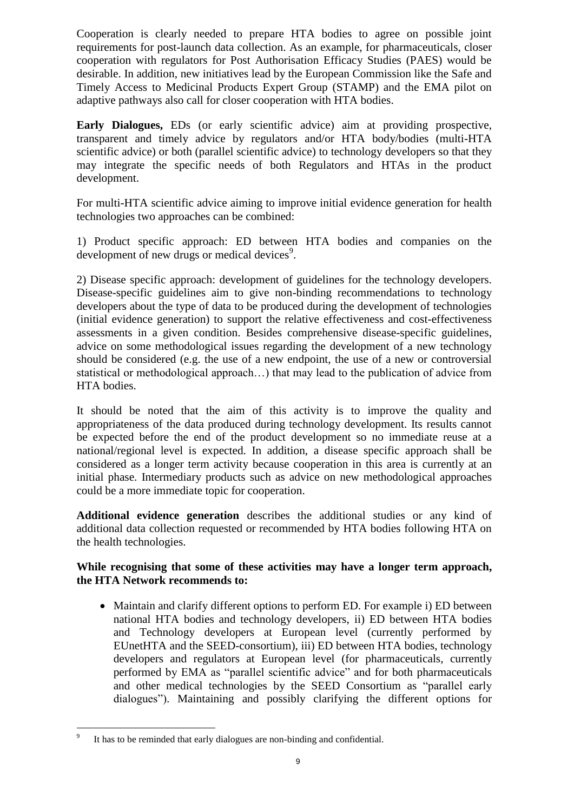Cooperation is clearly needed to prepare HTA bodies to agree on possible joint requirements for post-launch data collection. As an example, for pharmaceuticals, closer cooperation with regulators for Post Authorisation Efficacy Studies (PAES) would be desirable. In addition, new initiatives lead by the European Commission like the Safe and Timely Access to Medicinal Products Expert Group (STAMP) and the EMA pilot on adaptive pathways also call for closer cooperation with HTA bodies.

**Early Dialogues,** EDs (or early scientific advice) aim at providing prospective, transparent and timely advice by regulators and/or HTA body/bodies (multi-HTA scientific advice) or both (parallel scientific advice) to technology developers so that they may integrate the specific needs of both Regulators and HTAs in the product development.

For multi-HTA scientific advice aiming to improve initial evidence generation for health technologies two approaches can be combined:

1) Product specific approach: ED between HTA bodies and companies on the development of new drugs or medical devices<sup>9</sup>.

2) Disease specific approach: development of guidelines for the technology developers. Disease-specific guidelines aim to give non-binding recommendations to technology developers about the type of data to be produced during the development of technologies (initial evidence generation) to support the relative effectiveness and cost-effectiveness assessments in a given condition. Besides comprehensive disease-specific guidelines, advice on some methodological issues regarding the development of a new technology should be considered (e.g. the use of a new endpoint, the use of a new or controversial statistical or methodological approach…) that may lead to the publication of advice from HTA bodies.

It should be noted that the aim of this activity is to improve the quality and appropriateness of the data produced during technology development. Its results cannot be expected before the end of the product development so no immediate reuse at a national/regional level is expected. In addition, a disease specific approach shall be considered as a longer term activity because cooperation in this area is currently at an initial phase. Intermediary products such as advice on new methodological approaches could be a more immediate topic for cooperation.

**Additional evidence generation** describes the additional studies or any kind of additional data collection requested or recommended by HTA bodies following HTA on the health technologies.

#### **While recognising that some of these activities may have a longer term approach, the HTA Network recommends to:**

 Maintain and clarify different options to perform ED. For example i) ED between national HTA bodies and technology developers, ii) ED between HTA bodies and Technology developers at European level (currently performed by EUnetHTA and the SEED-consortium), iii) ED between HTA bodies, technology developers and regulators at European level (for pharmaceuticals, currently performed by EMA as "parallel scientific advice" and for both pharmaceuticals and other medical technologies by the SEED Consortium as "parallel early dialogues"). Maintaining and possibly clarifying the different options for

<sup>–&</sup>lt;br>9 It has to be reminded that early dialogues are non-binding and confidential.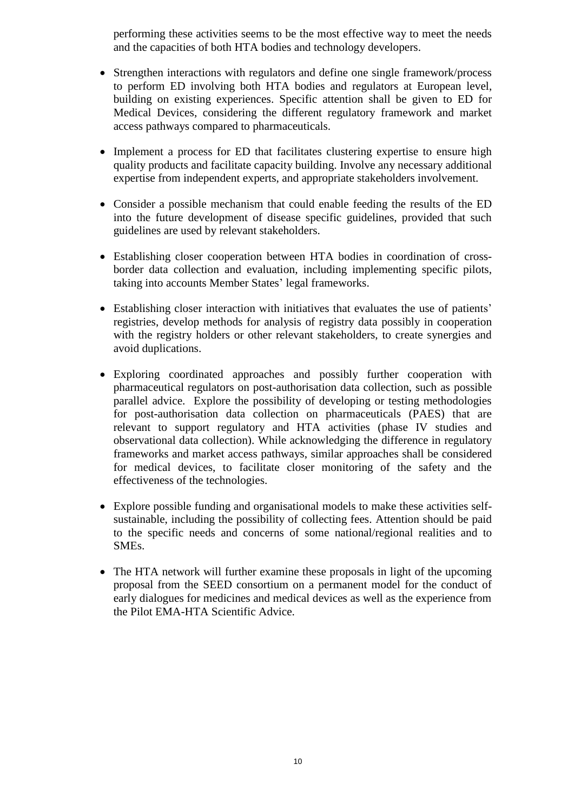performing these activities seems to be the most effective way to meet the needs and the capacities of both HTA bodies and technology developers.

- Strengthen interactions with regulators and define one single framework/process to perform ED involving both HTA bodies and regulators at European level, building on existing experiences. Specific attention shall be given to ED for Medical Devices, considering the different regulatory framework and market access pathways compared to pharmaceuticals.
- Implement a process for ED that facilitates clustering expertise to ensure high quality products and facilitate capacity building. Involve any necessary additional expertise from independent experts, and appropriate stakeholders involvement.
- Consider a possible mechanism that could enable feeding the results of the ED into the future development of disease specific guidelines, provided that such guidelines are used by relevant stakeholders.
- Establishing closer cooperation between HTA bodies in coordination of crossborder data collection and evaluation, including implementing specific pilots, taking into accounts Member States' legal frameworks.
- Establishing closer interaction with initiatives that evaluates the use of patients' registries, develop methods for analysis of registry data possibly in cooperation with the registry holders or other relevant stakeholders, to create synergies and avoid duplications.
- Exploring coordinated approaches and possibly further cooperation with pharmaceutical regulators on post-authorisation data collection, such as possible parallel advice. Explore the possibility of developing or testing methodologies for post-authorisation data collection on pharmaceuticals (PAES) that are relevant to support regulatory and HTA activities (phase IV studies and observational data collection). While acknowledging the difference in regulatory frameworks and market access pathways, similar approaches shall be considered for medical devices, to facilitate closer monitoring of the safety and the effectiveness of the technologies.
- Explore possible funding and organisational models to make these activities selfsustainable, including the possibility of collecting fees. Attention should be paid to the specific needs and concerns of some national/regional realities and to SMEs.
- The HTA network will further examine these proposals in light of the upcoming proposal from the SEED consortium on a permanent model for the conduct of early dialogues for medicines and medical devices as well as the experience from the Pilot EMA-HTA Scientific Advice.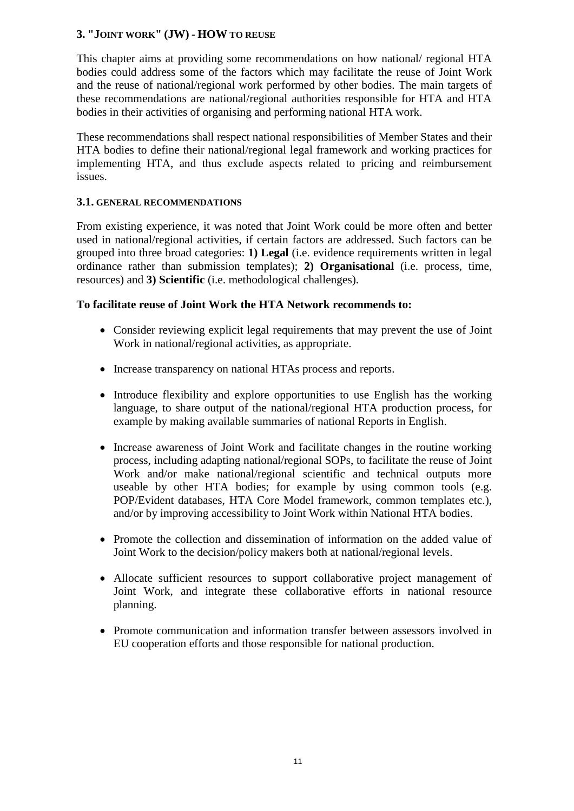# **3. "JOINT WORK" (JW) - HOW TO REUSE**

This chapter aims at providing some recommendations on how national/ regional HTA bodies could address some of the factors which may facilitate the reuse of Joint Work and the reuse of national/regional work performed by other bodies. The main targets of these recommendations are national/regional authorities responsible for HTA and HTA bodies in their activities of organising and performing national HTA work.

These recommendations shall respect national responsibilities of Member States and their HTA bodies to define their national/regional legal framework and working practices for implementing HTA, and thus exclude aspects related to pricing and reimbursement issues.

#### **3.1. GENERAL RECOMMENDATIONS**

From existing experience, it was noted that Joint Work could be more often and better used in national/regional activities, if certain factors are addressed. Such factors can be grouped into three broad categories: **1) Legal** (i.e. evidence requirements written in legal ordinance rather than submission templates); **2) Organisational** (i.e. process, time, resources) and **3) Scientific** (i.e. methodological challenges).

#### **To facilitate reuse of Joint Work the HTA Network recommends to:**

- Consider reviewing explicit legal requirements that may prevent the use of Joint Work in national/regional activities, as appropriate.
- Increase transparency on national HTAs process and reports.
- Introduce flexibility and explore opportunities to use English has the working language, to share output of the national/regional HTA production process, for example by making available summaries of national Reports in English.
- Increase awareness of Joint Work and facilitate changes in the routine working process, including adapting national/regional SOPs, to facilitate the reuse of Joint Work and/or make national/regional scientific and technical outputs more useable by other HTA bodies; for example by using common tools (e.g. POP/Evident databases, HTA Core Model framework, common templates etc.), and/or by improving accessibility to Joint Work within National HTA bodies.
- Promote the collection and dissemination of information on the added value of Joint Work to the decision/policy makers both at national/regional levels.
- Allocate sufficient resources to support collaborative project management of Joint Work, and integrate these collaborative efforts in national resource planning.
- Promote communication and information transfer between assessors involved in EU cooperation efforts and those responsible for national production.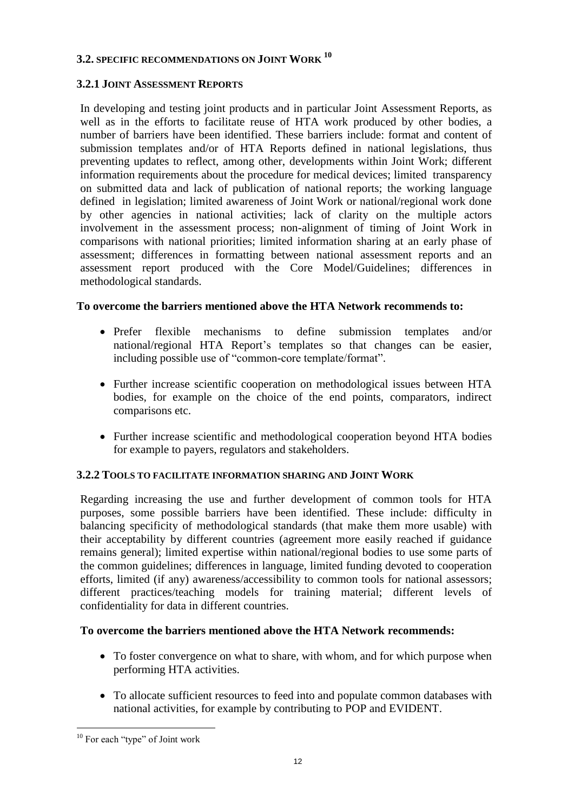# **3.2. SPECIFIC RECOMMENDATIONS ON JOINT WORK <sup>10</sup>**

#### **3.2.1 JOINT ASSESSMENT REPORTS**

In developing and testing joint products and in particular Joint Assessment Reports, as well as in the efforts to facilitate reuse of HTA work produced by other bodies, a number of barriers have been identified. These barriers include: format and content of submission templates and/or of HTA Reports defined in national legislations, thus preventing updates to reflect, among other, developments within Joint Work; different information requirements about the procedure for medical devices; limited transparency on submitted data and lack of publication of national reports; the working language defined in legislation; limited awareness of Joint Work or national/regional work done by other agencies in national activities; lack of clarity on the multiple actors involvement in the assessment process; non-alignment of timing of Joint Work in comparisons with national priorities; limited information sharing at an early phase of assessment; differences in formatting between national assessment reports and an assessment report produced with the Core Model/Guidelines; differences in methodological standards.

#### **To overcome the barriers mentioned above the HTA Network recommends to:**

- Prefer flexible mechanisms to define submission templates and/or national/regional HTA Report's templates so that changes can be easier, including possible use of "common-core template/format".
- Further increase scientific cooperation on methodological issues between HTA bodies, for example on the choice of the end points, comparators, indirect comparisons etc.
- Further increase scientific and methodological cooperation beyond HTA bodies for example to payers, regulators and stakeholders.

# **3.2.2 TOOLS TO FACILITATE INFORMATION SHARING AND JOINT WORK**

Regarding increasing the use and further development of common tools for HTA purposes, some possible barriers have been identified. These include: difficulty in balancing specificity of methodological standards (that make them more usable) with their acceptability by different countries (agreement more easily reached if guidance remains general); limited expertise within national/regional bodies to use some parts of the common guidelines; differences in language, limited funding devoted to cooperation efforts, limited (if any) awareness/accessibility to common tools for national assessors; different practices/teaching models for training material; different levels of confidentiality for data in different countries.

#### **To overcome the barriers mentioned above the HTA Network recommends:**

- To foster convergence on what to share, with whom, and for which purpose when performing HTA activities.
- To allocate sufficient resources to feed into and populate common databases with national activities, for example by contributing to POP and EVIDENT.

<sup>1</sup> <sup>10</sup> For each "type" of Joint work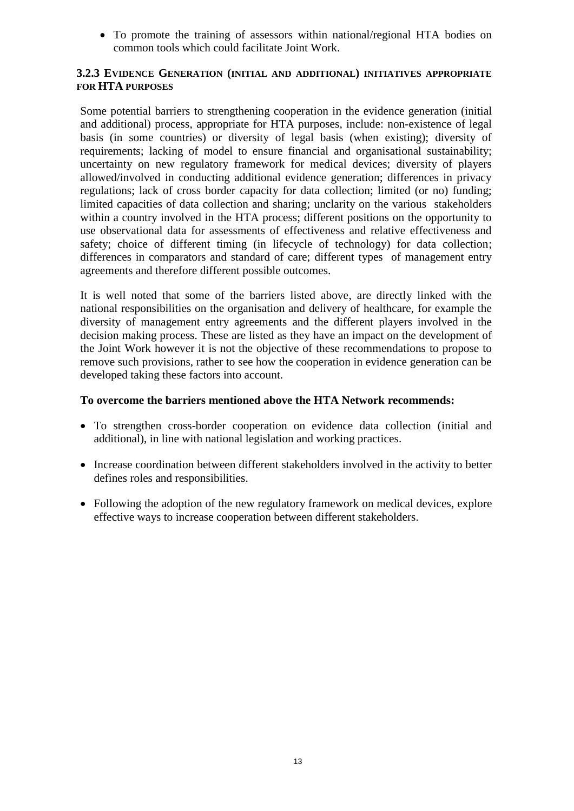To promote the training of assessors within national/regional HTA bodies on common tools which could facilitate Joint Work.

#### **3.2.3 EVIDENCE GENERATION (INITIAL AND ADDITIONAL) INITIATIVES APPROPRIATE FOR HTA PURPOSES**

Some potential barriers to strengthening cooperation in the evidence generation (initial and additional) process, appropriate for HTA purposes, include: non-existence of legal basis (in some countries) or diversity of legal basis (when existing); diversity of requirements; lacking of model to ensure financial and organisational sustainability; uncertainty on new regulatory framework for medical devices; diversity of players allowed/involved in conducting additional evidence generation; differences in privacy regulations; lack of cross border capacity for data collection; limited (or no) funding; limited capacities of data collection and sharing; unclarity on the various stakeholders within a country involved in the HTA process; different positions on the opportunity to use observational data for assessments of effectiveness and relative effectiveness and safety; choice of different timing (in lifecycle of technology) for data collection; differences in comparators and standard of care; different types of management entry agreements and therefore different possible outcomes.

It is well noted that some of the barriers listed above, are directly linked with the national responsibilities on the organisation and delivery of healthcare, for example the diversity of management entry agreements and the different players involved in the decision making process. These are listed as they have an impact on the development of the Joint Work however it is not the objective of these recommendations to propose to remove such provisions, rather to see how the cooperation in evidence generation can be developed taking these factors into account.

#### **To overcome the barriers mentioned above the HTA Network recommends:**

- To strengthen cross-border cooperation on evidence data collection (initial and additional), in line with national legislation and working practices.
- Increase coordination between different stakeholders involved in the activity to better defines roles and responsibilities.
- Following the adoption of the new regulatory framework on medical devices, explore effective ways to increase cooperation between different stakeholders.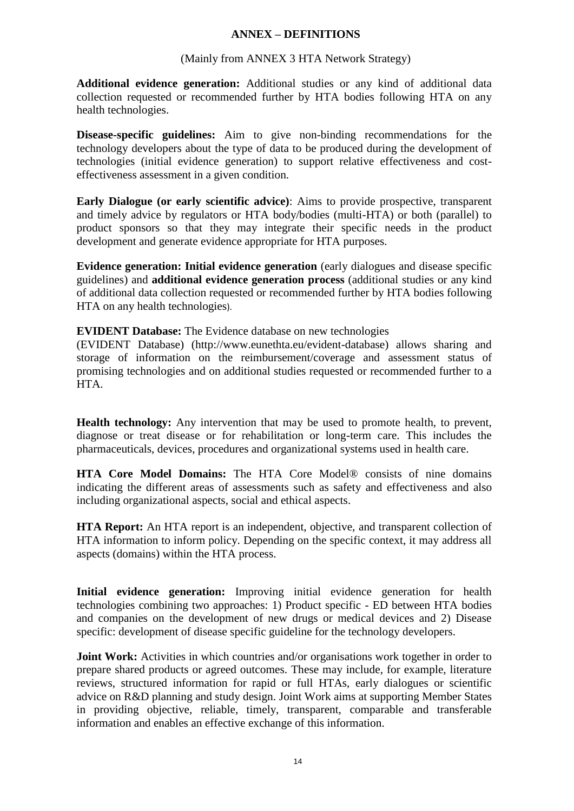#### **ANNEX – DEFINITIONS**

#### (Mainly from ANNEX 3 HTA Network Strategy)

**Additional evidence generation:** Additional studies or any kind of additional data collection requested or recommended further by HTA bodies following HTA on any health technologies.

**Disease-specific guidelines:** Aim to give non-binding recommendations for the technology developers about the type of data to be produced during the development of technologies (initial evidence generation) to support relative effectiveness and costeffectiveness assessment in a given condition.

**Early Dialogue (or early scientific advice)**: Aims to provide prospective, transparent and timely advice by regulators or HTA body/bodies (multi-HTA) or both (parallel) to product sponsors so that they may integrate their specific needs in the product development and generate evidence appropriate for HTA purposes.

**Evidence generation: Initial evidence generation** (early dialogues and disease specific guidelines) and **additional evidence generation process** (additional studies or any kind of additional data collection requested or recommended further by HTA bodies following HTA on any health technologies).

#### **EVIDENT Database:** The Evidence database on new technologies

(EVIDENT Database) (http://www.eunethta.eu/evident-database) allows sharing and storage of information on the reimbursement/coverage and assessment status of promising technologies and on additional studies requested or recommended further to a HTA.

**Health technology:** Any intervention that may be used to promote health, to prevent, diagnose or treat disease or for rehabilitation or long-term care. This includes the pharmaceuticals, devices, procedures and organizational systems used in health care.

**HTA Core Model Domains:** The HTA Core Model® consists of nine domains indicating the different areas of assessments such as safety and effectiveness and also including organizational aspects, social and ethical aspects.

**HTA Report:** An HTA report is an independent, objective, and transparent collection of HTA information to inform policy. Depending on the specific context, it may address all aspects (domains) within the HTA process.

**Initial evidence generation:** Improving initial evidence generation for health technologies combining two approaches: 1) Product specific - ED between HTA bodies and companies on the development of new drugs or medical devices and 2) Disease specific: development of disease specific guideline for the technology developers.

**Joint Work:** Activities in which countries and/or organisations work together in order to prepare shared products or agreed outcomes. These may include, for example, literature reviews, structured information for rapid or full HTAs, early dialogues or scientific advice on R&D planning and study design. Joint Work aims at supporting Member States in providing objective, reliable, timely, transparent, comparable and transferable information and enables an effective exchange of this information.